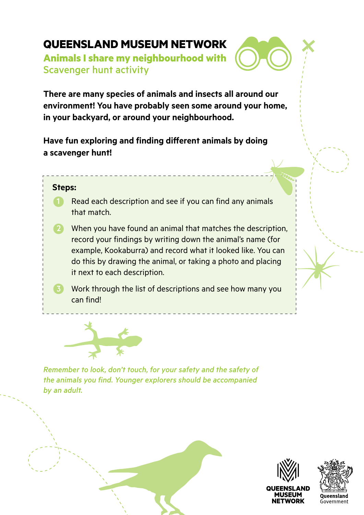# **QUEENSLAND MUSEUM NETWORK**

**Animals I share my neighbourhood with** Scavenger hunt activity

**There are many species of animals and insects all around our environment! You have probably seen some around your home, in your backyard, or around your neighbourhood.** 

**Have fun exploring and finding different animals by doing a scavenger hunt!** 

#### **Steps:**

- **1** Read each description and see if you can find any animals that match.
- 2 When you have found an animal that matches the description, record your findings by writing down the animal's name (for example, Kookaburra) and record what it looked like. You can do this by drawing the animal, or taking a photo and placing it next to each description.
- 3 Work through the list of descriptions and see how many you can find!



*Remember to look, don't touch, for your safety and the safety of the animals you find. Younger explorers should be accompanied by an adult.* 



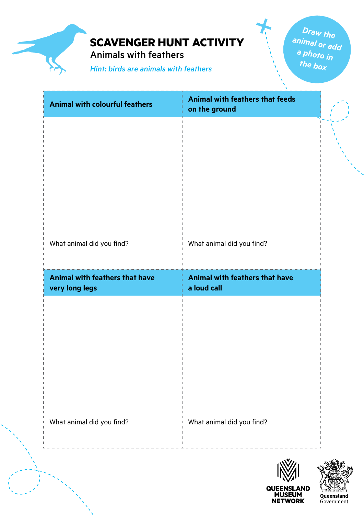Animals with feathers

*Hint: birds are animals with feathers*

*Draw the animal or add a photo in the box*

**QUEENSLAND<br>MUSEUM<br>NETWORK** 

Queensland Government

| <b>Animal with colourful feathers</b> | Animal with feathers that feeds<br>on the ground |  |
|---------------------------------------|--------------------------------------------------|--|
|                                       |                                                  |  |
|                                       |                                                  |  |
|                                       |                                                  |  |
|                                       |                                                  |  |
| What animal did you find?             | What animal did you find?                        |  |
| Animal with feathers that have        | Animal with feathers that have                   |  |
| very long legs                        | a loud call                                      |  |
|                                       |                                                  |  |
|                                       |                                                  |  |
|                                       |                                                  |  |
|                                       |                                                  |  |
|                                       |                                                  |  |
| What animal did you find?             | What animal did you find?                        |  |
|                                       |                                                  |  |
|                                       |                                                  |  |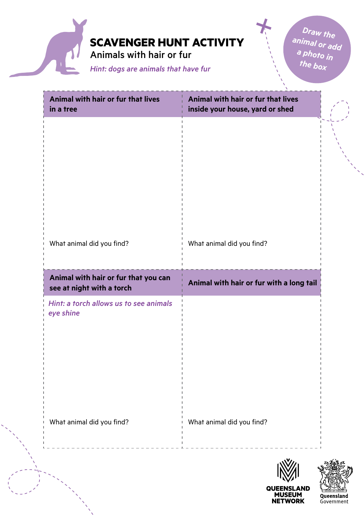

| Animal with hair or fur that lives<br>in a tree                   | Animal with hair or fur that lives<br>inside your house, yard or shed |        |
|-------------------------------------------------------------------|-----------------------------------------------------------------------|--------|
|                                                                   |                                                                       |        |
|                                                                   |                                                                       |        |
|                                                                   |                                                                       |        |
|                                                                   |                                                                       |        |
| What animal did you find?                                         | What animal did you find?                                             |        |
| Animal with hair or fur that you can<br>see at night with a torch | Animal with hair or fur with a long tail                              |        |
| Hint: a torch allows us to see animals<br>eye shine               |                                                                       |        |
|                                                                   |                                                                       |        |
|                                                                   |                                                                       |        |
|                                                                   |                                                                       |        |
| What animal did you find?                                         | What animal did you find?                                             |        |
|                                                                   | 135/11                                                                | "ৰ" ছে |

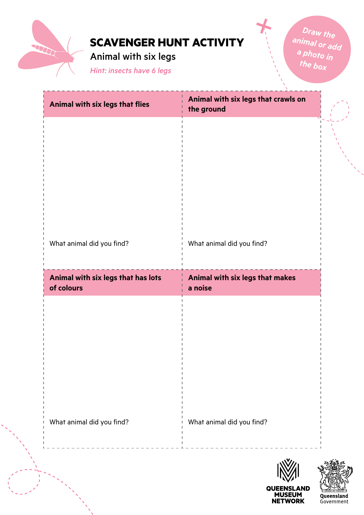

Animal with six legs

*Hint: insects have 6 legs*

| Animal with six legs that flies                  | Animal with six legs that crawls on<br>the ground |  |
|--------------------------------------------------|---------------------------------------------------|--|
|                                                  |                                                   |  |
|                                                  |                                                   |  |
|                                                  |                                                   |  |
|                                                  |                                                   |  |
| What animal did you find?                        | What animal did you find?                         |  |
|                                                  |                                                   |  |
| Animal with six legs that has lots<br>of colours | Animal with six legs that makes<br>a noise        |  |
|                                                  |                                                   |  |
|                                                  |                                                   |  |
|                                                  |                                                   |  |
|                                                  |                                                   |  |
| What animal did you find?                        | What animal did you find?                         |  |
|                                                  |                                                   |  |

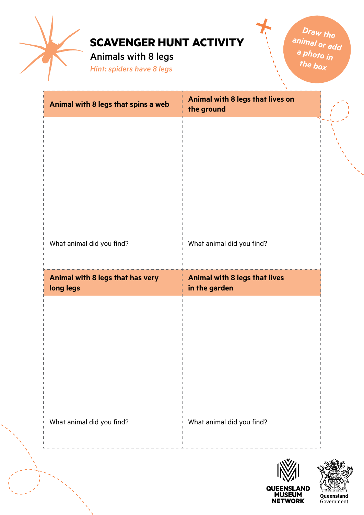

Animals with 8 legs

*Hint: spiders have 8 legs*

| Animal with 8 legs that spins a web           | Animal with 8 legs that lives on<br>the ground |  |
|-----------------------------------------------|------------------------------------------------|--|
|                                               |                                                |  |
|                                               |                                                |  |
|                                               |                                                |  |
|                                               |                                                |  |
| What animal did you find?                     | What animal did you find?                      |  |
|                                               |                                                |  |
| Animal with 8 legs that has very<br>long legs | Animal with 8 legs that lives<br>in the garden |  |
|                                               |                                                |  |
|                                               |                                                |  |
|                                               |                                                |  |
|                                               |                                                |  |
|                                               |                                                |  |
|                                               |                                                |  |
| What animal did you find?                     | What animal did you find?                      |  |

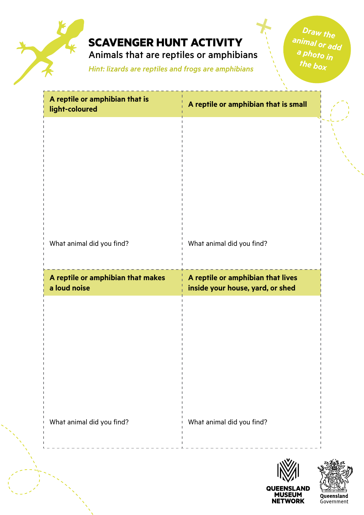

Animals that are reptiles or amphibians

*Hint: lizards are reptiles and frogs are amphibians*

| A reptile or amphibian that is<br>light-coloured  | A reptile or amphibian that is small                                  |  |
|---------------------------------------------------|-----------------------------------------------------------------------|--|
|                                                   |                                                                       |  |
|                                                   |                                                                       |  |
|                                                   |                                                                       |  |
|                                                   |                                                                       |  |
| What animal did you find?                         | What animal did you find?                                             |  |
| A reptile or amphibian that makes<br>a loud noise | A reptile or amphibian that lives<br>inside your house, yard, or shed |  |
|                                                   |                                                                       |  |
|                                                   |                                                                       |  |
|                                                   |                                                                       |  |
|                                                   |                                                                       |  |
| What animal did you find?                         | What animal did you find?                                             |  |
|                                                   |                                                                       |  |
|                                                   |                                                                       |  |